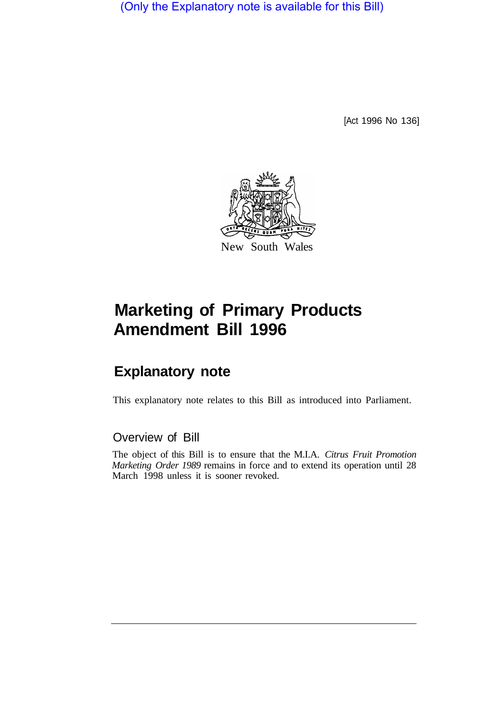(Only the Explanatory note is available for this Bill)

[Act 1996 No 136]



## **Marketing of Primary Products Amendment Bill 1996**

## **Explanatory note**

This explanatory note relates to this Bill as introduced into Parliament.

## Overview of Bill

The object of this Bill is to ensure that the M.I.A. *Citrus Fruit Promotion Marketing Order 1989* remains in force and to extend its operation until 28 March 1998 unless it is sooner revoked.